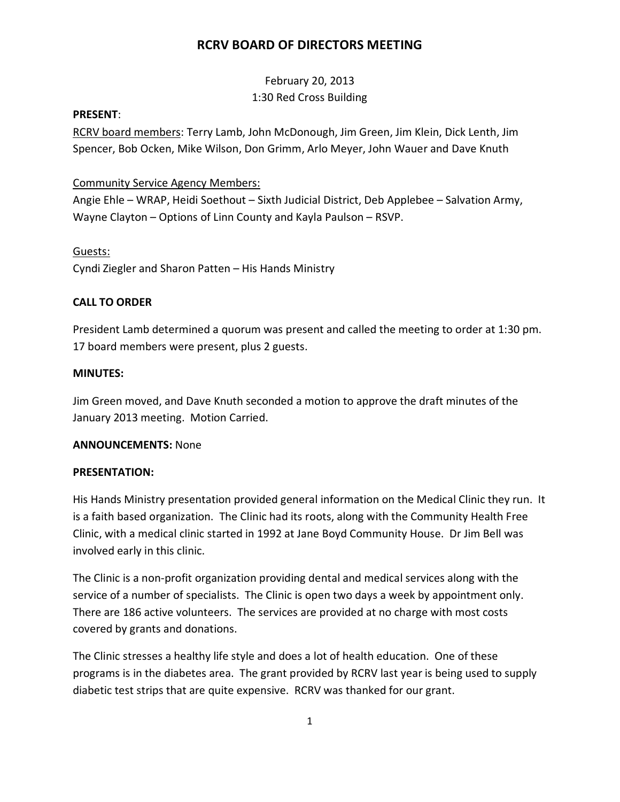February 20, 2013 1:30 Red Cross Building

#### **PRESENT**:

RCRV board members: Terry Lamb, John McDonough, Jim Green, Jim Klein, Dick Lenth, Jim Spencer, Bob Ocken, Mike Wilson, Don Grimm, Arlo Meyer, John Wauer and Dave Knuth

### Community Service Agency Members:

Angie Ehle – WRAP, Heidi Soethout – Sixth Judicial District, Deb Applebee – Salvation Army, Wayne Clayton – Options of Linn County and Kayla Paulson – RSVP.

#### Guests:

Cyndi Ziegler and Sharon Patten – His Hands Ministry

### **CALL TO ORDER**

President Lamb determined a quorum was present and called the meeting to order at 1:30 pm. 17 board members were present, plus 2 guests.

### **MINUTES:**

Jim Green moved, and Dave Knuth seconded a motion to approve the draft minutes of the January 2013 meeting. Motion Carried.

### **ANNOUNCEMENTS:** None

### **PRESENTATION:**

His Hands Ministry presentation provided general information on the Medical Clinic they run. It is a faith based organization. The Clinic had its roots, along with the Community Health Free Clinic, with a medical clinic started in 1992 at Jane Boyd Community House. Dr Jim Bell was involved early in this clinic.

The Clinic is a non-profit organization providing dental and medical services along with the service of a number of specialists. The Clinic is open two days a week by appointment only. There are 186 active volunteers. The services are provided at no charge with most costs covered by grants and donations.

The Clinic stresses a healthy life style and does a lot of health education. One of these programs is in the diabetes area. The grant provided by RCRV last year is being used to supply diabetic test strips that are quite expensive. RCRV was thanked for our grant.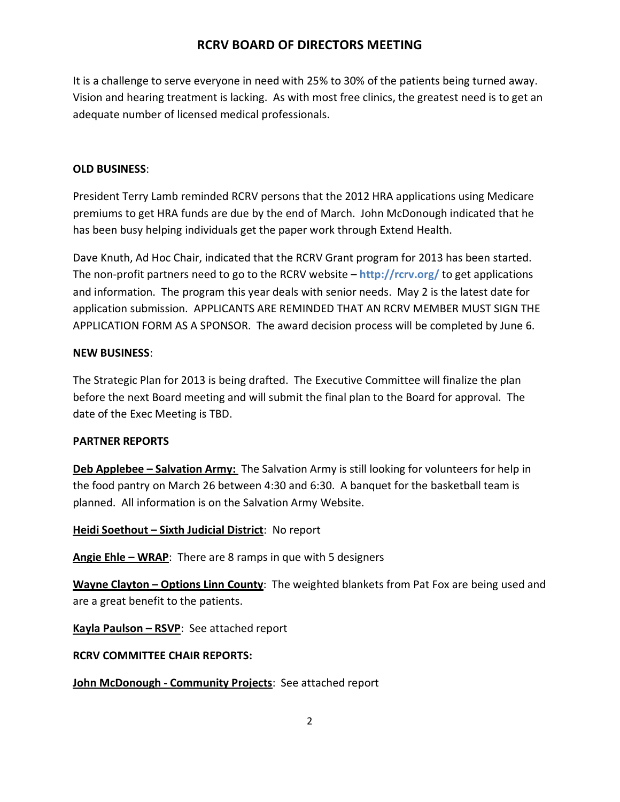It is a challenge to serve everyone in need with 25% to 30% of the patients being turned away. Vision and hearing treatment is lacking. As with most free clinics, the greatest need is to get an adequate number of licensed medical professionals.

## **OLD BUSINESS**:

President Terry Lamb reminded RCRV persons that the 2012 HRA applications using Medicare premiums to get HRA funds are due by the end of March. John McDonough indicated that he has been busy helping individuals get the paper work through Extend Health.

Dave Knuth, Ad Hoc Chair, indicated that the RCRV Grant program for 2013 has been started. The non-profit partners need to go to the RCRV website – **http://rcrv.org/** to get applications and information. The program this year deals with senior needs. May 2 is the latest date for application submission. APPLICANTS ARE REMINDED THAT AN RCRV MEMBER MUST SIGN THE APPLICATION FORM AS A SPONSOR. The award decision process will be completed by June 6.

### **NEW BUSINESS**:

The Strategic Plan for 2013 is being drafted. The Executive Committee will finalize the plan before the next Board meeting and will submit the final plan to the Board for approval. The date of the Exec Meeting is TBD.

### **PARTNER REPORTS**

**Deb Applebee – Salvation Army:** The Salvation Army is still looking for volunteers for help in the food pantry on March 26 between 4:30 and 6:30. A banquet for the basketball team is planned. All information is on the Salvation Army Website.

### **Heidi Soethout – Sixth Judicial District**: No report

**Angie Ehle – WRAP**: There are 8 ramps in que with 5 designers

**Wayne Clayton – Options Linn County**: The weighted blankets from Pat Fox are being used and are a great benefit to the patients.

**Kayla Paulson – RSVP**: See attached report

## **RCRV COMMITTEE CHAIR REPORTS:**

**John McDonough - Community Projects**: See attached report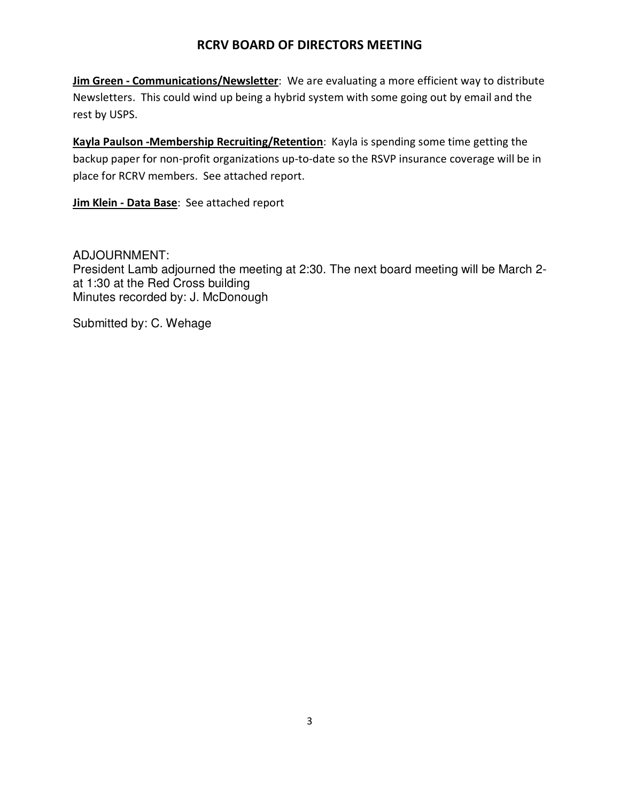**Jim Green - Communications/Newsletter**: We are evaluating a more efficient way to distribute Newsletters. This could wind up being a hybrid system with some going out by email and the rest by USPS.

**Kayla Paulson -Membership Recruiting/Retention**: Kayla is spending some time getting the backup paper for non-profit organizations up-to-date so the RSVP insurance coverage will be in place for RCRV members. See attached report.

**Jim Klein - Data Base**: See attached report

## ADJOURNMENT:

President Lamb adjourned the meeting at 2:30. The next board meeting will be March 2 at 1:30 at the Red Cross building Minutes recorded by: J. McDonough

Submitted by: C. Wehage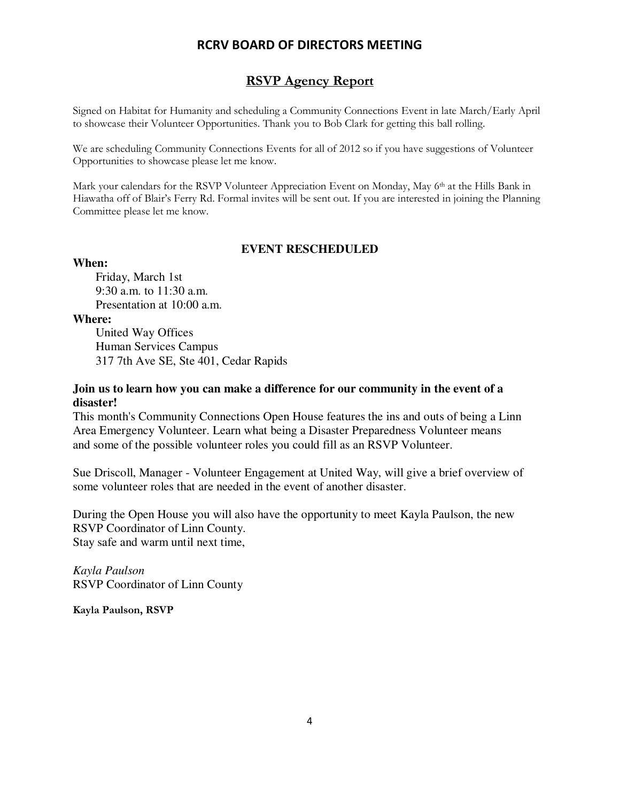### **RSVP Agency Report**

Signed on Habitat for Humanity and scheduling a Community Connections Event in late March/Early April to showcase their Volunteer Opportunities. Thank you to Bob Clark for getting this ball rolling.

We are scheduling Community Connections Events for all of 2012 so if you have suggestions of Volunteer Opportunities to showcase please let me know.

Mark your calendars for the RSVP Volunteer Appreciation Event on Monday, May 6<sup>th</sup> at the Hills Bank in Hiawatha off of Blair's Ferry Rd. Formal invites will be sent out. If you are interested in joining the Planning Committee please let me know.

#### **EVENT RESCHEDULED**

#### **When:**

Friday, March 1st 9:30 a.m. to 11:30 a.m. Presentation at 10:00 a.m.

**Where:**

United Way Offices Human Services Campus 317 7th Ave SE, Ste 401, Cedar Rapids

### **Join us to learn how you can make a difference for our community in the event of a disaster!**

This month's Community Connections Open House features the ins and outs of being a Linn Area Emergency Volunteer. Learn what being a Disaster Preparedness Volunteer means and some of the possible volunteer roles you could fill as an RSVP Volunteer.

Sue Driscoll, Manager - Volunteer Engagement at United Way, will give a brief overview of some volunteer roles that are needed in the event of another disaster.

During the Open House you will also have the opportunity to meet Kayla Paulson, the new RSVP Coordinator of Linn County. Stay safe and warm until next time,

*Kayla Paulson* RSVP Coordinator of Linn County

**Kayla Paulson, RSVP**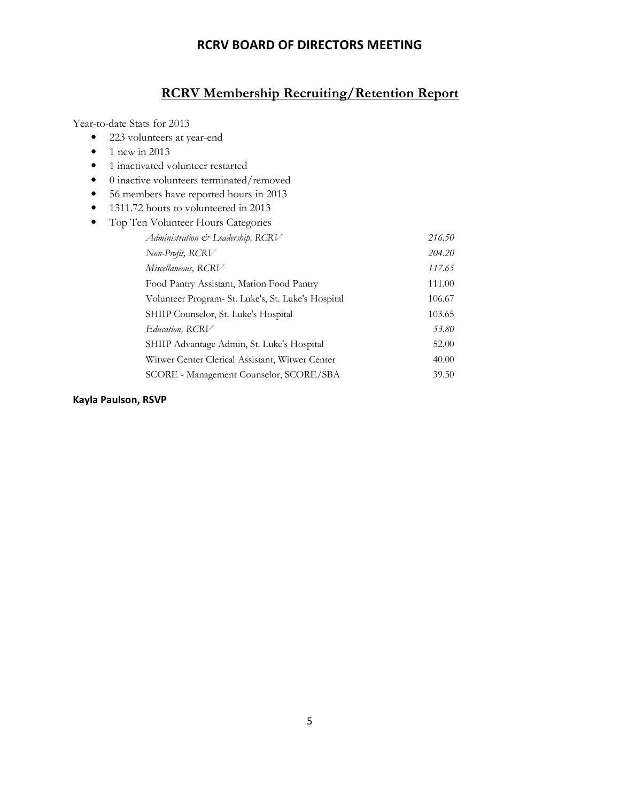# **RCRV Membership Recruiting/Retention Report**

Year-to-date Stats for 2013

- 223 volunteers at year-end
- $\bullet$  1 new in 2013
- 1 inactivated volunteer restarted
- 0 inactive volunteers terminated/removed
- 56 members have reported hours in 2013
- 1311.72 hours to volunteered in 2013
- Top Ten Volunteer Hours Categories

| Administration & Leadership, RCRV                  | 216.50 |
|----------------------------------------------------|--------|
| Non-Profit, RCRV                                   | 204.20 |
| Miscellaneous, RCRV                                | 117.65 |
| Food Pantry Assistant, Marion Food Pantry          | 111.00 |
| Volunteer Program- St. Luke's, St. Luke's Hospital | 106.67 |
| SHIIP Counselor, St. Luke's Hospital               | 103.65 |
| Education, RCRV                                    | 53.80  |
| SHIIP Advantage Admin, St. Luke's Hospital         | 52.00  |
| Witwer Center Clerical Assistant, Witwer Center    | 40.00  |
| SCORE - Management Counselor, SCORE/SBA            | 39.50  |

#### **Kayla Paulson, RSVP**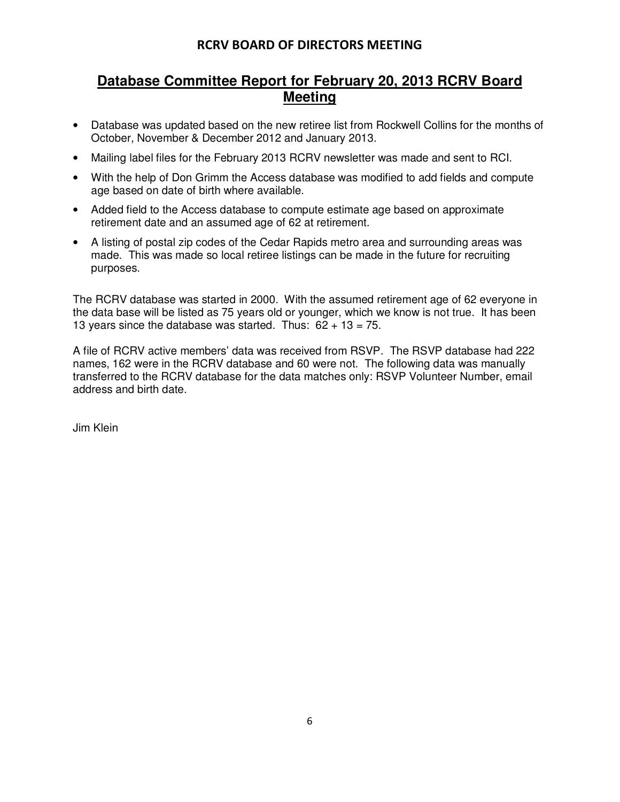# **Database Committee Report for February 20, 2013 RCRV Board Meeting**

- Database was updated based on the new retiree list from Rockwell Collins for the months of October, November & December 2012 and January 2013.
- Mailing label files for the February 2013 RCRV newsletter was made and sent to RCI.
- With the help of Don Grimm the Access database was modified to add fields and compute age based on date of birth where available.
- Added field to the Access database to compute estimate age based on approximate retirement date and an assumed age of 62 at retirement.
- A listing of postal zip codes of the Cedar Rapids metro area and surrounding areas was made. This was made so local retiree listings can be made in the future for recruiting purposes.

The RCRV database was started in 2000. With the assumed retirement age of 62 everyone in the data base will be listed as 75 years old or younger, which we know is not true. It has been 13 years since the database was started. Thus:  $62 + 13 = 75$ .

A file of RCRV active members' data was received from RSVP. The RSVP database had 222 names, 162 were in the RCRV database and 60 were not. The following data was manually transferred to the RCRV database for the data matches only: RSVP Volunteer Number, email address and birth date.

Jim Klein